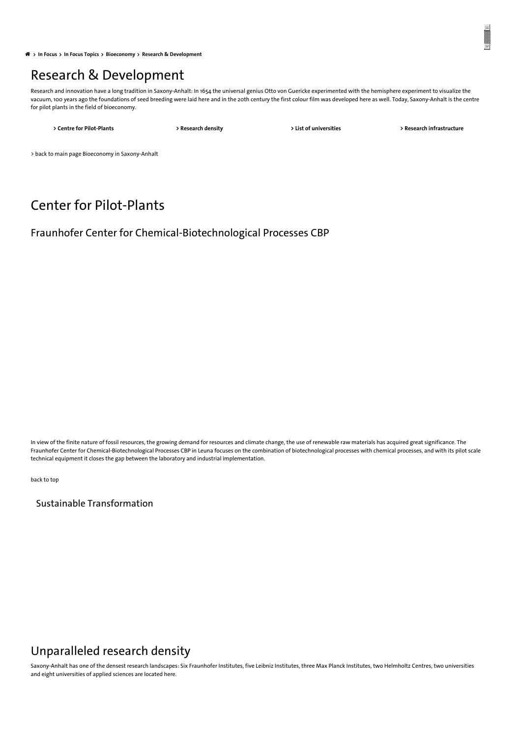**In**  $\hat{P}$  **In** Focus > In Focus [Topics](https://www.invest-in-saxony-anhalt.com/locational-advantages/in-focus-topics) > [Bioeconomy](https://www.invest-in-saxony-anhalt.com/bioeconomy) > Research & [Development](#page-1-0)

## <span id="page-0-2"></span>Research & Development

Research and innovation have a long tradition in Saxony-Anhalt: In 1654 the universal genius Otto von Guericke experimented with the hemisphere experiment to visualize the vacuum, 100 years ago the foundations of seed breeding were laid here and in the 20th century the first colour film was developed here as well. Today, Saxony-Anhalt is the centre for pilot plants in the field of bioeconomy.

**> Centre for [Pilot-Plants](#page-0-0) > [Research](#page-0-1) density > List of [universities](#page-2-0) > Research [infrastructure](#page-3-0)**

> back to main page Bioeconomy in [Saxony-Anhalt](https://www.invest-in-saxony-anhalt.com/bioeconomy)

## <span id="page-0-0"></span>Center for Pilot-Plants

Fraunhofer Center for Chemical-Biotechnological Processes CBP

In view of the finite nature of fossil resources, the growing demand for resources and climate change, the use of renewable raw materials has acquired great significance. The Fraunhofer Center for Chemical-Biotechnological Processes CBP in Leuna focuses on the combination of biotechnological processes with chemical processes, and with its pilot scale technical equipment it closes the gap between the laboratory and industrial implementation.

[back](#page-0-2) to top

Sustainable Transformation

### <span id="page-0-1"></span>Unparalleled research density

Saxony-Anhalt has one of the densest research landscapes: Six Fraunhofer Institutes, five Leibniz Institutes, three Max Planck Institutes, two Helmholtz Centres, two universities and eight universities of applied sciences are located here.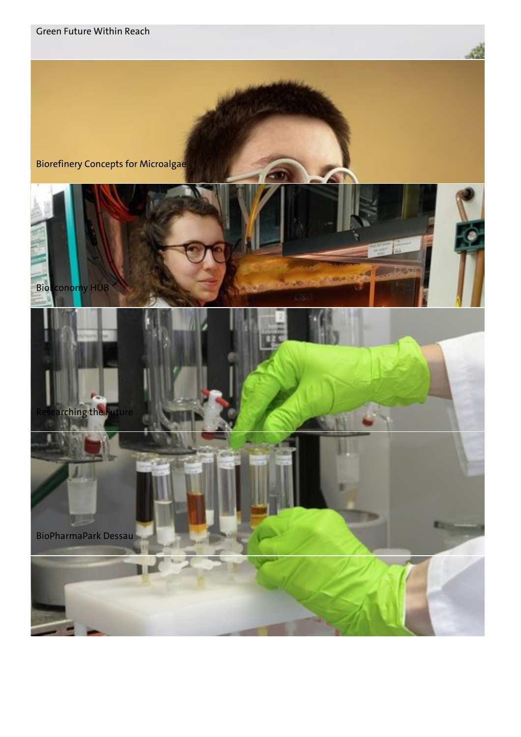<span id="page-1-0"></span>







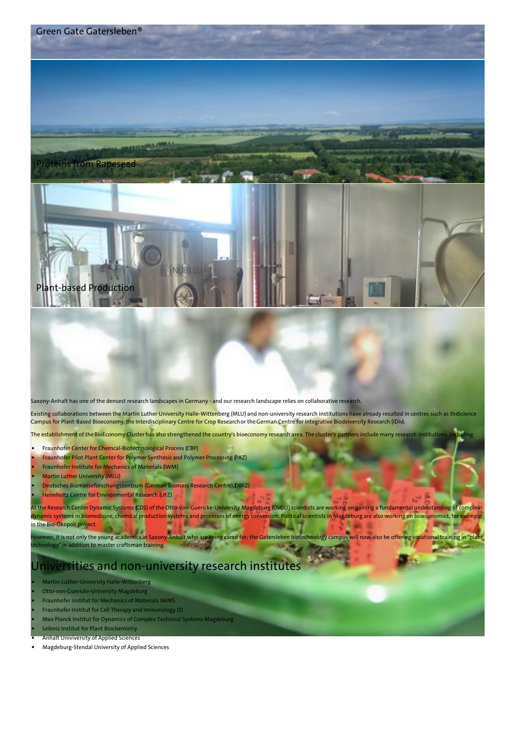

Saxony-Anhalt has one of the densest research landscapes in Germany - and our research landscape relies on collaborative research.

Existing collaborations between the Martin Luther University [Halle-Wittenberg](http://www.sciencecampus-halle.de/index.php/homepage.html) (MLU) and non-university research institutions have already resulted in centres such as the cience Campus for Plant-Based Bioeconomy, the [Interdisciplinary](http://www.uni-halle.de/izn/) Centre for Crop Researchor the German Centre for integrative [Biodeiversity](https://www.idiv.de/en.html) Research (iDiv).

The establishment of the BioEconomy Cluster has also strengthened the country's bioeconomy research area. The cluster's partners include many research institutions,

- Fraunhofer Center for Chemcal-Biotechnological Process [\(CBP\)](https://www.cbp.fraunhofer.de/en.html)
- Fraunhofer Pilot Plant Center for Polymer Synthesis and Polymer Processing [\(PAZ](https://www.polymer-pilotanlagen.de/en/Fraunhofer-PAZ.html))
- Fraunhofer Institute for Mechanics of Materials [\(IWM](https://www.iwm.fraunhofer.de/en.html))
- Martin Luther University [\(MLU](http://www.uni-halle.de/?lang=en))
- Deutsches Biomasseforschungszentrum (German Biomass Research Centre), [\(DBFZ](https://www.dbfz.de/index.php?id=34&L=1))
- Helmholtz Centre for Environmental Research [\(UFZ](http://www.ufz.de/index.php?en=33573))

At the Research Center Dynamic Systems [\(CDS](http://www.cds.ovgu.de/cds/en/CDS.html)) of the Otto-von-Guericke-University Magdeburg [\(OvGU](https://www.ovgu.de/en/)) scientists are working on gaining a fundamental understanding of complex dynamic systems in biomedicine, chemical production systems and processes of energy conversion. Political scientists in Magdeburg are also working on bioeconomics, for example in the [Bio-Ökopoli](http://www.bio-oekopoli.de/) project.

lowever, it is not only the young academics in Saxony-Anhalt who are being cared for; the Gatersleben biotechnology campus will now also be offering vocational training in "plant echnology" in addition to master craftsman training.

### <span id="page-2-0"></span>Universities and non-university research institutes

- [Martin-Luther-University](http://www.uni-halle.de/?lang=en) Halle-Wittenberg
- [Otto-von-Guericke-University](http://www.ovgu.de/en/) Magdeburg
- [Fraunhofer](https://www.iwm.fraunhofer.de/en.html) Institut for Mechanics of Materials IWMS
- Fraunhofer Institut for Cell Therapy and [Immunology](https://www.izi.fraunhofer.de/en.html) IZI
- Max Planck Institut for Dynamics of Complex Technical Systems [Magdeburg](http://www.mpi-magdeburg.mpg.de/2316/en)
- Leibniz Institut for Plant [Biochemistry](https://www.ipb-halle.de/en/) Anhalt [Univiversity](https://www.hs-anhalt.de/en/start-page.html) of Applied Sciences
- [Magdeburg-Stendal](https://www.hs-magdeburg.de/en/home.html) University of Applied Sciences